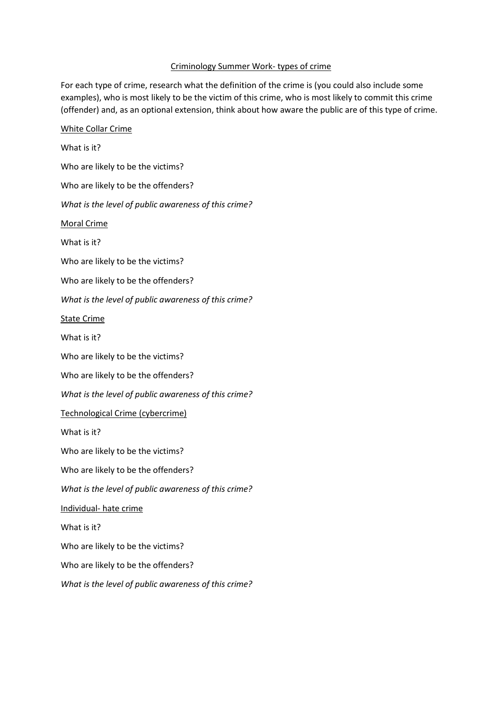## Criminology Summer Work- types of crime

For each type of crime, research what the definition of the crime is (you could also include some examples), who is most likely to be the victim of this crime, who is most likely to commit this crime (offender) and, as an optional extension, think about how aware the public are of this type of crime.

## White Collar Crime

What is it? Who are likely to be the victims? Who are likely to be the offenders? *What is the level of public awareness of this crime?* Moral Crime What is it? Who are likely to be the victims? Who are likely to be the offenders? *What is the level of public awareness of this crime?* State Crime What is it? Who are likely to be the victims? Who are likely to be the offenders? *What is the level of public awareness of this crime?* Technological Crime (cybercrime) What is it? Who are likely to be the victims? Who are likely to be the offenders? *What is the level of public awareness of this crime?* Individual- hate crime What is it? Who are likely to be the victims? Who are likely to be the offenders? *What is the level of public awareness of this crime?*